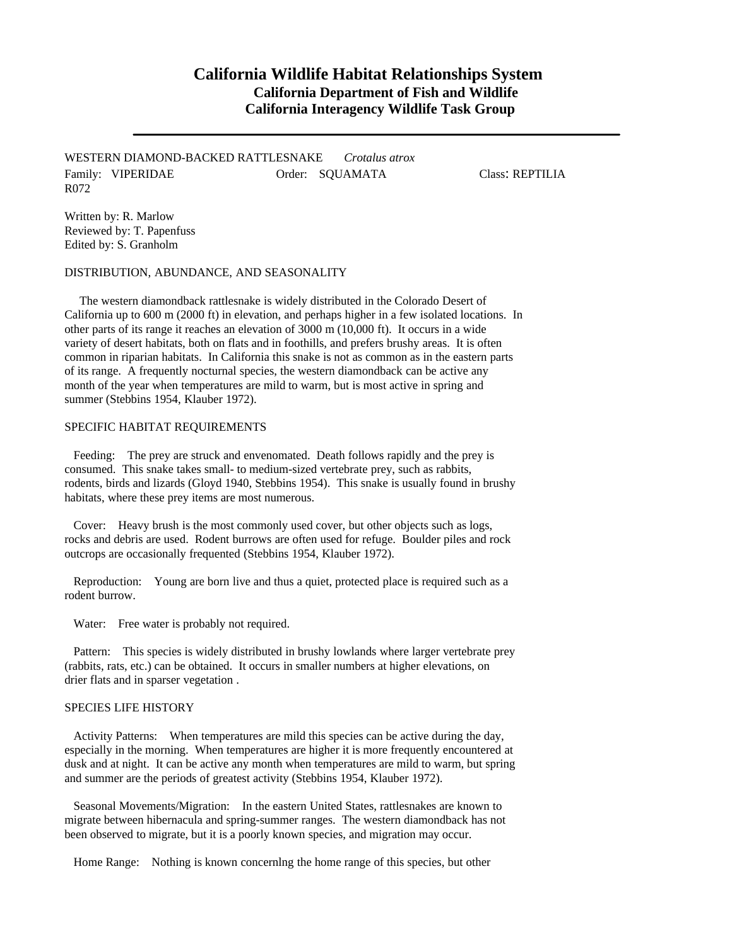## **California Wildlife Habitat Relationships System California Department of Fish and Wildlife California Interagency Wildlife Task Group**

WESTERN DIAMOND-BACKED RATTLESNAKE *Crotalus atrox* Family: VIPERIDAE **Order: SQUAMATA** Class: REPTILIA R072

Written by: R. Marlow Reviewed by: T. Papenfuss Edited by: S. Granholm

DISTRIBUTION, ABUNDANCE, AND SEASONALITY

The western diamondback rattlesnake is widely distributed in the Colorado Desert of California up to 600 m (2000 ft) in elevation, and perhaps higher in a few isolated locations. In other parts of its range it reaches an elevation of 3000 m (10,000 ft). It occurs in a wide variety of desert habitats, both on flats and in foothills, and prefers brushy areas. It is often common in riparian habitats. In California this snake is not as common as in the eastern parts of its range. A frequently nocturnal species, the western diamondback can be active any month of the year when temperatures are mild to warm, but is most active in spring and summer (Stebbins 1954, Klauber 1972).

## SPECIFIC HABITAT REQUIREMENTS

Feeding: The prey are struck and envenomated. Death follows rapidly and the prey is consumed. This snake takes small- to medium-sized vertebrate prey, such as rabbits, rodents, birds and lizards (Gloyd 1940, Stebbins 1954). This snake is usually found in brushy habitats, where these prey items are most numerous.

Cover: Heavy brush is the most commonly used cover, but other objects such as logs, rocks and debris are used. Rodent burrows are often used for refuge. Boulder piles and rock outcrops are occasionally frequented (Stebbins 1954, Klauber 1972).

Reproduction: Young are born live and thus a quiet, protected place is required such as a rodent burrow.

Water: Free water is probably not required.

Pattern: This species is widely distributed in brushy lowlands where larger vertebrate prey (rabbits, rats, etc.) can be obtained. It occurs in smaller numbers at higher elevations, on drier flats and in sparser vegetation .

## SPECIES LIFE HISTORY

Activity Patterns: When temperatures are mild this species can be active during the day, especially in the morning. When temperatures are higher it is more frequently encountered at dusk and at night. It can be active any month when temperatures are mild to warm, but spring and summer are the periods of greatest activity (Stebbins 1954, Klauber 1972).

Seasonal Movements/Migration: In the eastern United States, rattlesnakes are known to migrate between hibernacula and spring-summer ranges. The western diamondback has not been observed to migrate, but it is a poorly known species, and migration may occur.

Home Range: Nothing is known concernlng the home range of this species, but other